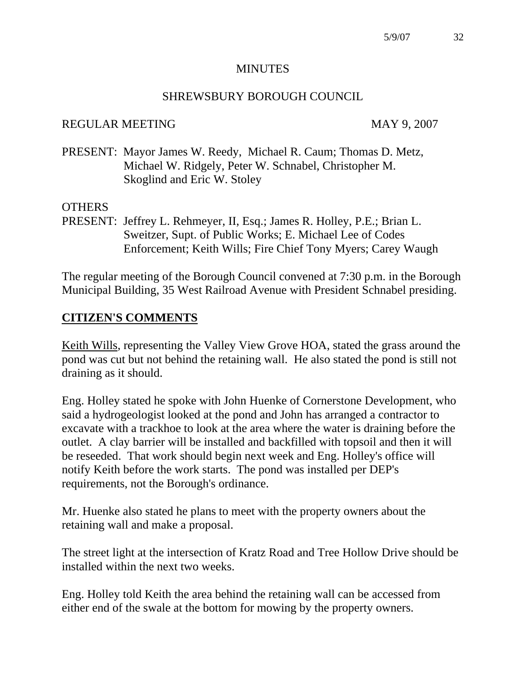#### **MINUTES**

#### SHREWSBURY BOROUGH COUNCIL

#### REGULAR MEETING MAY 9, 2007

PRESENT: Mayor James W. Reedy, Michael R. Caum; Thomas D. Metz, Michael W. Ridgely, Peter W. Schnabel, Christopher M. Skoglind and Eric W. Stoley

### **OTHERS**

PRESENT: Jeffrey L. Rehmeyer, II, Esq.; James R. Holley, P.E.; Brian L. Sweitzer, Supt. of Public Works; E. Michael Lee of Codes Enforcement; Keith Wills; Fire Chief Tony Myers; Carey Waugh

The regular meeting of the Borough Council convened at 7:30 p.m. in the Borough Municipal Building, 35 West Railroad Avenue with President Schnabel presiding.

## **CITIZEN'S COMMENTS**

Keith Wills, representing the Valley View Grove HOA, stated the grass around the pond was cut but not behind the retaining wall. He also stated the pond is still not draining as it should.

Eng. Holley stated he spoke with John Huenke of Cornerstone Development, who said a hydrogeologist looked at the pond and John has arranged a contractor to excavate with a trackhoe to look at the area where the water is draining before the outlet. A clay barrier will be installed and backfilled with topsoil and then it will be reseeded. That work should begin next week and Eng. Holley's office will notify Keith before the work starts. The pond was installed per DEP's requirements, not the Borough's ordinance.

Mr. Huenke also stated he plans to meet with the property owners about the retaining wall and make a proposal.

The street light at the intersection of Kratz Road and Tree Hollow Drive should be installed within the next two weeks.

Eng. Holley told Keith the area behind the retaining wall can be accessed from either end of the swale at the bottom for mowing by the property owners.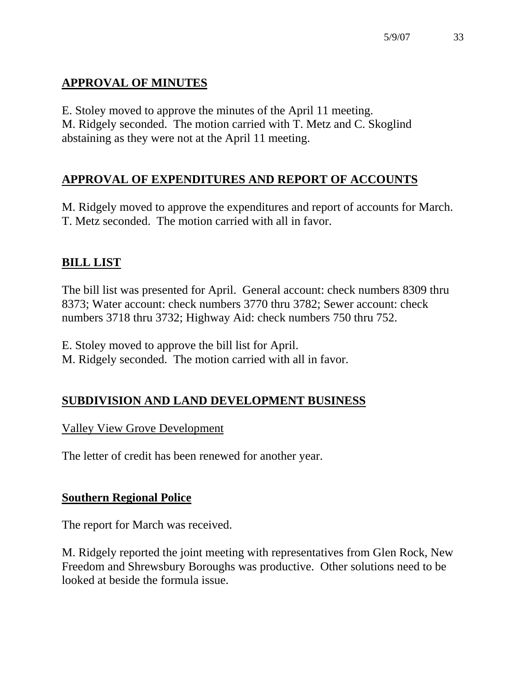# **APPROVAL OF MINUTES**

E. Stoley moved to approve the minutes of the April 11 meeting. M. Ridgely seconded. The motion carried with T. Metz and C. Skoglind abstaining as they were not at the April 11 meeting.

# **APPROVAL OF EXPENDITURES AND REPORT OF ACCOUNTS**

M. Ridgely moved to approve the expenditures and report of accounts for March. T. Metz seconded. The motion carried with all in favor.

# **BILL LIST**

The bill list was presented for April. General account: check numbers 8309 thru 8373; Water account: check numbers 3770 thru 3782; Sewer account: check numbers 3718 thru 3732; Highway Aid: check numbers 750 thru 752.

E. Stoley moved to approve the bill list for April.

M. Ridgely seconded. The motion carried with all in favor.

# **SUBDIVISION AND LAND DEVELOPMENT BUSINESS**

### Valley View Grove Development

The letter of credit has been renewed for another year.

# **Southern Regional Police**

The report for March was received.

M. Ridgely reported the joint meeting with representatives from Glen Rock, New Freedom and Shrewsbury Boroughs was productive. Other solutions need to be looked at beside the formula issue.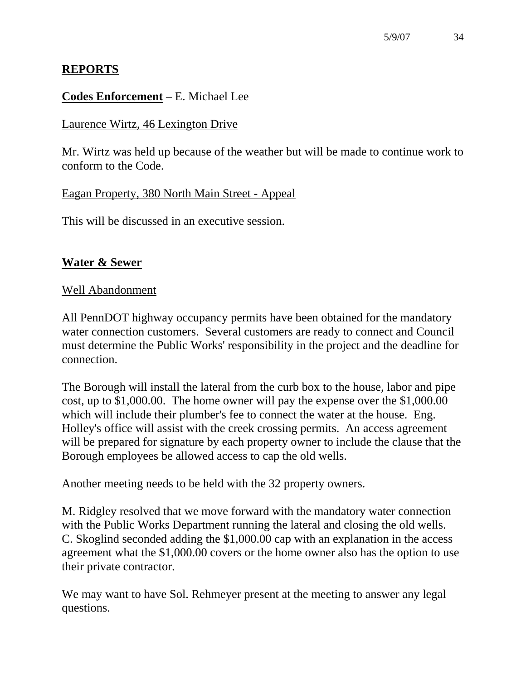# **REPORTS**

## **Codes Enforcement** – E. Michael Lee

### Laurence Wirtz, 46 Lexington Drive

Mr. Wirtz was held up because of the weather but will be made to continue work to conform to the Code.

## Eagan Property, 380 North Main Street - Appeal

This will be discussed in an executive session.

# **Water & Sewer**

## Well Abandonment

All PennDOT highway occupancy permits have been obtained for the mandatory water connection customers. Several customers are ready to connect and Council must determine the Public Works' responsibility in the project and the deadline for connection.

The Borough will install the lateral from the curb box to the house, labor and pipe cost, up to \$1,000.00. The home owner will pay the expense over the \$1,000.00 which will include their plumber's fee to connect the water at the house. Eng. Holley's office will assist with the creek crossing permits. An access agreement will be prepared for signature by each property owner to include the clause that the Borough employees be allowed access to cap the old wells.

Another meeting needs to be held with the 32 property owners.

M. Ridgley resolved that we move forward with the mandatory water connection with the Public Works Department running the lateral and closing the old wells. C. Skoglind seconded adding the \$1,000.00 cap with an explanation in the access agreement what the \$1,000.00 covers or the home owner also has the option to use their private contractor.

We may want to have Sol. Rehmeyer present at the meeting to answer any legal questions.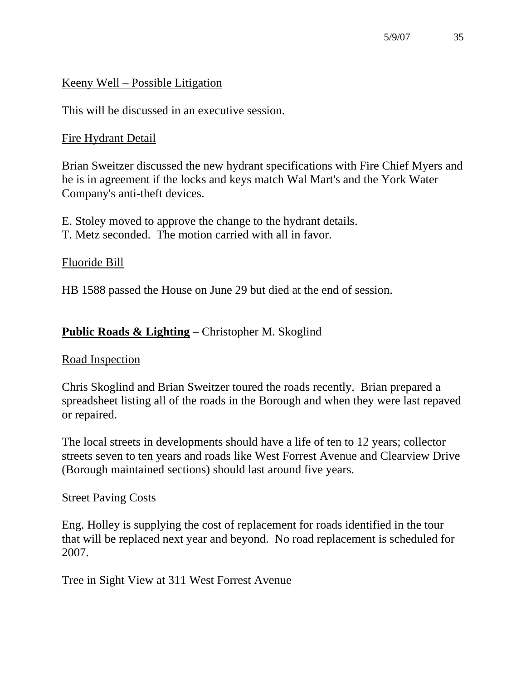## Keeny Well – Possible Litigation

This will be discussed in an executive session.

## Fire Hydrant Detail

Brian Sweitzer discussed the new hydrant specifications with Fire Chief Myers and he is in agreement if the locks and keys match Wal Mart's and the York Water Company's anti-theft devices.

E. Stoley moved to approve the change to the hydrant details.

T. Metz seconded. The motion carried with all in favor.

## Fluoride Bill

HB 1588 passed the House on June 29 but died at the end of session.

# **Public Roads & Lighting** – Christopher M. Skoglind

### Road Inspection

Chris Skoglind and Brian Sweitzer toured the roads recently. Brian prepared a spreadsheet listing all of the roads in the Borough and when they were last repaved or repaired.

The local streets in developments should have a life of ten to 12 years; collector streets seven to ten years and roads like West Forrest Avenue and Clearview Drive (Borough maintained sections) should last around five years.

### Street Paving Costs

Eng. Holley is supplying the cost of replacement for roads identified in the tour that will be replaced next year and beyond. No road replacement is scheduled for 2007.

# Tree in Sight View at 311 West Forrest Avenue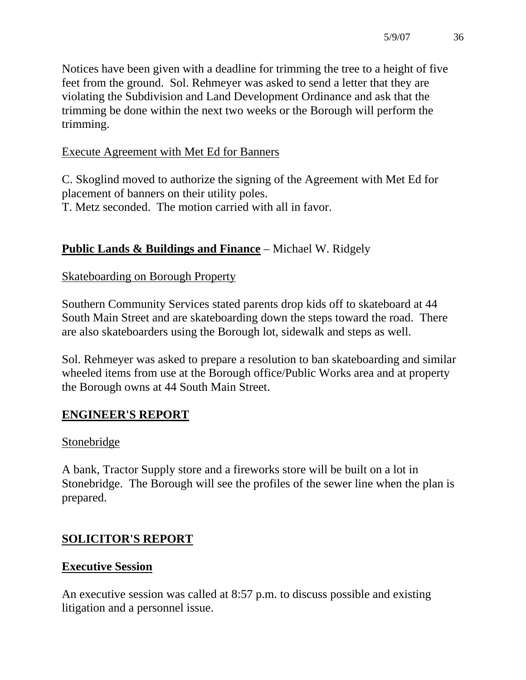Notices have been given with a deadline for trimming the tree to a height of five feet from the ground. Sol. Rehmeyer was asked to send a letter that they are violating the Subdivision and Land Development Ordinance and ask that the trimming be done within the next two weeks or the Borough will perform the trimming.

# Execute Agreement with Met Ed for Banners

C. Skoglind moved to authorize the signing of the Agreement with Met Ed for placement of banners on their utility poles. T. Metz seconded. The motion carried with all in favor.

# **Public Lands & Buildings and Finance** – Michael W. Ridgely

## Skateboarding on Borough Property

Southern Community Services stated parents drop kids off to skateboard at 44 South Main Street and are skateboarding down the steps toward the road. There are also skateboarders using the Borough lot, sidewalk and steps as well.

Sol. Rehmeyer was asked to prepare a resolution to ban skateboarding and similar wheeled items from use at the Borough office/Public Works area and at property the Borough owns at 44 South Main Street.

# **ENGINEER'S REPORT**

### **Stonebridge**

A bank, Tractor Supply store and a fireworks store will be built on a lot in Stonebridge. The Borough will see the profiles of the sewer line when the plan is prepared.

# **SOLICITOR'S REPORT**

### **Executive Session**

An executive session was called at 8:57 p.m. to discuss possible and existing litigation and a personnel issue.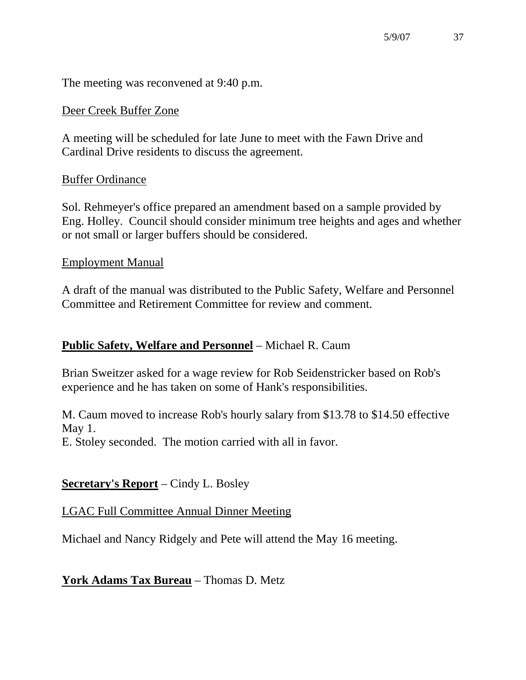The meeting was reconvened at 9:40 p.m.

#### Deer Creek Buffer Zone

A meeting will be scheduled for late June to meet with the Fawn Drive and Cardinal Drive residents to discuss the agreement.

#### Buffer Ordinance

Sol. Rehmeyer's office prepared an amendment based on a sample provided by Eng. Holley. Council should consider minimum tree heights and ages and whether or not small or larger buffers should be considered.

#### Employment Manual

A draft of the manual was distributed to the Public Safety, Welfare and Personnel Committee and Retirement Committee for review and comment.

### **Public Safety, Welfare and Personnel** – Michael R. Caum

Brian Sweitzer asked for a wage review for Rob Seidenstricker based on Rob's experience and he has taken on some of Hank's responsibilities.

M. Caum moved to increase Rob's hourly salary from \$13.78 to \$14.50 effective May 1.

E. Stoley seconded. The motion carried with all in favor.

### **Secretary's Report** – Cindy L. Bosley

### LGAC Full Committee Annual Dinner Meeting

Michael and Nancy Ridgely and Pete will attend the May 16 meeting.

### **York Adams Tax Bureau** – Thomas D. Metz